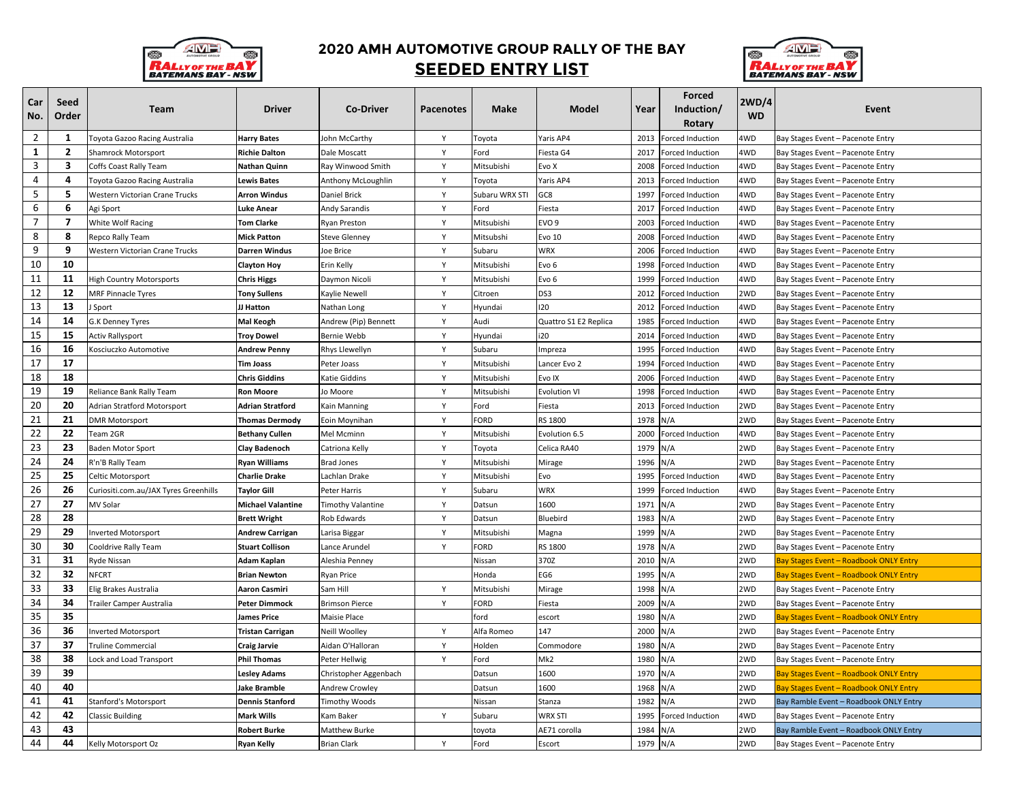

## **2020 AMH AUTOMOTIVE GROUP RALLY OF THE BAY SEEDED ENTRY LIST**



| Car<br>No.     | Seed<br>Order  | <b>Team</b>                           | <b>Driver</b>            | <b>Co-Driver</b>         | <b>Pacenotes</b> | Make           | <b>Model</b>          | Year | <b>Forced</b><br>Induction/<br>Rotary | 2WD/4<br><b>WD</b> | Event                                  |
|----------------|----------------|---------------------------------------|--------------------------|--------------------------|------------------|----------------|-----------------------|------|---------------------------------------|--------------------|----------------------------------------|
| $\overline{2}$ | 1              | <b>Foyota Gazoo Racing Australia</b>  | <b>Harry Bates</b>       | John McCarthy            | Y                | Toyota         | Yaris AP4             | 2013 | Forced Induction                      | 4WD                | Bay Stages Event - Pacenote Entry      |
| $\mathbf{1}$   | $\overline{2}$ | Shamrock Motorsport                   | Richie Dalton            | Dale Moscatt             | γ                | -ord           | Fiesta G4             | 2017 | <b>Forced Induction</b>               | 4WD                | Bay Stages Event - Pacenote Entry      |
| 3              | 3              | Coffs Coast Rally Team                | Nathan Quinn             | Ray Winwood Smith        | Υ                | Mitsubishi     | Evo X                 | 2008 | Forced Induction                      | 4WD                | Bay Stages Event - Pacenote Entry      |
| 4              | 4              | Toyota Gazoo Racing Australia         | Lewis Bates              | Anthony McLoughlin       | Y                | Toyota         | Yaris AP4             | 2013 | Forced Induction                      | 4WD                | Bay Stages Event - Pacenote Entry      |
| 5              | 5              | Western Victorian Crane Trucks        | <b>Arron Windus</b>      | Daniel Brick             | Y                | Subaru WRX STI | GC8                   | 1997 | Forced Induction                      | 4WD                | Bay Stages Event - Pacenote Entry      |
| 6              | 6              | Agi Sport                             | Luke Anear               | Andy Sarandis            | Y                | Ford           | Fiesta                | 2017 | Forced Induction                      | 4WD                | Bay Stages Event - Pacenote Entry      |
| $\overline{7}$ | $\overline{7}$ | White Wolf Racing                     | <b>Tom Clarke</b>        | Ryan Preston             | Y                | Mitsubishi     | EVO 9                 | 2003 | Forced Induction                      | 4WD                | Bay Stages Event - Pacenote Entry      |
| 8              | 8              | Repco Rally Team                      | Mick Patton              | Steve Glenney            | Υ                | Mitsubshi      | Evo 10                | 2008 | Forced Induction                      | 4WD                | Bay Stages Event – Pacenote Entry      |
| 9              | 9              | Western Victorian Crane Trucks        | Darren Windus            | Joe Brice                | Y                | Subaru         | <b>WRX</b>            | 2006 | Forced Induction                      | 4WD                | Bay Stages Event - Pacenote Entry      |
| 10             | 10             |                                       | <b>Clayton Hoy</b>       | Erin Kelly               | Y                | Mitsubishi     | Evo 6                 | 1998 | Forced Induction                      | 4WD                | Bay Stages Event - Pacenote Entry      |
| 11             | 11             | <b>High Country Motorsports</b>       | <b>Chris Higgs</b>       | Daymon Nicoli            | Y                | Mitsubishi     | Evo 6                 | 1999 | Forced Induction                      | 4WD                | Bay Stages Event - Pacenote Entry      |
| 12             | 12             | <b>MRF Pinnacle Tyres</b>             | <b>Tony Sullens</b>      | Kaylie Newell            | Y                | Citroen        | DS3                   | 2012 | Forced Induction                      | 2WD                | Bay Stages Event - Pacenote Entry      |
| 13             | 13             | Sport                                 | JJ Hatton                | Nathan Long              | Y                | Hyundai        | 120                   | 2012 | <b>Forced Induction</b>               | 4WD                | Bay Stages Event - Pacenote Entry      |
| 14             | 14             | G.K Denney Tyres                      | Mal Keogh                | Andrew (Pip) Bennett     | Y                | Audi           | Quattro S1 E2 Replica | 1985 | Forced Induction                      | 4WD                | Bay Stages Event - Pacenote Entry      |
| 15             | 15             | <b>Activ Rallysport</b>               | <b>Troy Dowel</b>        | Bernie Webb              | Y                | Hyundai        | i20                   | 2014 | Forced Induction                      | 4WD                | Bay Stages Event - Pacenote Entry      |
| 16             | 16             | Kosciuczko Automotive                 | <b>Andrew Penny</b>      | Rhys Llewellyn           | Y                | Subaru         | Impreza               | 1995 | Forced Induction                      | 4WD                | Bay Stages Event - Pacenote Entry      |
| 17             | 17             |                                       | <b>Tim Joass</b>         | Peter Joass              | Y                | Mitsubishi     | Lancer Evo 2          | 1994 | Forced Induction                      | 4WD                | Bay Stages Event - Pacenote Entry      |
| 18             | 18             |                                       | <b>Chris Giddins</b>     | Katie Giddins            | Y                | Mitsubishi     | Evo IX                | 2006 | <b>Forced Induction</b>               | 4WD                | Bay Stages Event - Pacenote Entry      |
| 19             | 19             | Reliance Bank Rally Team              | Ron Moore                | Jo Moore                 | Y                | Mitsubishi     | <b>Evolution VI</b>   | 1998 | Forced Induction                      | 4WD                | Bay Stages Event – Pacenote Entry      |
| 20             | 20             | Adrian Stratford Motorsport           | Adrian Stratford         | Kain Manning             | Y                | Ford           | Fiesta                | 2013 | Forced Induction                      | 2WD                | Bay Stages Event - Pacenote Entry      |
| 21             | 21             | <b>DMR Motorsport</b>                 | <b>Thomas Dermody</b>    | Eoin Moynihan            | Y                | <b>FORD</b>    | RS 1800               | 1978 | N/A                                   | 2WD                | Bay Stages Event - Pacenote Entry      |
| 22             | 22             | Feam 2GR                              | Bethany Cullen           | Mel Mcminn               | Y                | Mitsubishi     | Evolution 6.5         | 2000 | Forced Induction                      | 4WD                | Bay Stages Event – Pacenote Entry      |
| 23             | 23             | Baden Motor Sport                     | Clay Badenoch            | Catriona Kelly           | γ                | Toyota         | Celica RA40           | 1979 | N/A                                   | 2WD                | Bay Stages Event - Pacenote Entry      |
| 24             | 24             | የ'n'B Rally Team                      | Ryan Williams            | Brad Jones               | Y                | Mitsubishi     | Mirage                | 1996 | N/A                                   | 2WD                | Bay Stages Event - Pacenote Entry      |
| 25             | 25             | Celtic Motorsport                     | <b>Charlie Drake</b>     | Lachlan Drake            | Y                | Mitsubishi     | Evo                   | 1995 | Forced Induction                      | 4WD                | Bay Stages Event - Pacenote Entry      |
| 26             | 26             | Curiositi.com.au/JAX Tyres Greenhills | <b>Taylor Gill</b>       | Peter Harris             | Y                | Subaru         | <b>WRX</b>            | 1999 | Forced Induction                      | 4WD                | Bay Stages Event - Pacenote Entry      |
| 27             | 27             | MV Solar                              | <b>Michael Valantine</b> | <b>Timothy Valantine</b> | Y                | Datsun         | 1600                  | 1971 | N/A                                   | 2WD                | Bay Stages Event – Pacenote Entry      |
| 28             | 28             |                                       | <b>Brett Wright</b>      | Rob Edwards              | Y                | Datsun         | Bluebird              | 1983 | N/A                                   | 2WD                | Bay Stages Event - Pacenote Entry      |
| 29             | 29             | nverted Motorsport                    | Andrew Carrigan          | Larisa Biggar            | Y                | Mitsubishi     | Magna                 | 1999 | N/A                                   | 2WD                | Bay Stages Event - Pacenote Entry      |
| 30             | 30             | Cooldrive Rally Team                  | <b>Stuart Collison</b>   | Lance Arundel            | Y                | FORD           | RS 1800               | 1978 | N/A                                   | 2WD                | Bay Stages Event - Pacenote Entry      |
| 31             | 31             | Ryde Nissan                           | Adam Kaplan              | Aleshia Penney           |                  | Nissan         | 370Z                  | 2010 | N/A                                   | 2WD                | Bay Stages Event - Roadbook ONLY Entry |
| 32             | 32             | <b>NFCRT</b>                          | <b>Brian Newton</b>      | <b>Ryan Price</b>        |                  | Honda          | EG6                   | 1995 | N/A                                   | 2WD                | Bay Stages Event - Roadbook ONLY Entry |
| 33             | 33             | Elig Brakes Australia                 | Aaron Casmiri            | Sam Hill                 | Y                | Mitsubishi     | Mirage                | 1998 | N/A                                   | 2WD                | Bay Stages Event - Pacenote Entry      |
| 34             | 34             | Trailer Camper Australia              | Peter Dimmock            | <b>Brimson Pierce</b>    | Y                | ORD            | Fiesta                | 2009 | N/A                                   | 2WD                | Bay Stages Event - Pacenote Entry      |
| 35             | 35             |                                       | James Price              | Maisie Place             |                  | ford           | escort                | 1980 | N/A                                   | 2WD                | Bay Stages Event - Roadbook ONLY Entry |
| 36             | 36             | nverted Motorsport                    | <b>Tristan Carrigan</b>  | Neill Woolley            | Y                | Alfa Romeo     | 147                   | 2000 | N/A                                   | 2WD                | Bay Stages Event - Pacenote Entry      |
| 37             | 37             | <b>Truline Commercial</b>             | <b>Craig Jarvie</b>      | Aidan O'Halloran         | Y                | Holden         | Commodore             | 1980 | N/A                                   | 2WD                | Bay Stages Event - Pacenote Entry      |
| 38             | 38             | Lock and Load Transport               | <b>Phil Thomas</b>       | Peter Hellwig            | Y                | Ford           | Mk <sub>2</sub>       | 1980 | N/A                                   | 2WD                | Bay Stages Event - Pacenote Entry      |
| 39             | -39<br>40      |                                       | Lesley Adams             | Christopher Aggenbach    |                  | Datsun         | 1600                  | 1970 | N/A                                   | 2WD                | Bay Stages Event - Roadbook ONLY Entry |
| 40             |                |                                       | Jake Bramble             | <b>Andrew Crowley</b>    |                  | Datsun         | 1600                  | 1968 | N/A                                   | 2WD                | Bay Stages Event - Roadbook ONLY Entry |
| 41             | 41             | Stanford's Motorsport                 | <b>Dennis Stanford</b>   | Timothy Woods            |                  | Nissan         | Stanza                | 1982 | N/A                                   | 2WD                | Bay Ramble Event - Roadbook ONLY Entry |
| 42             | 42<br>43       | Classic Building                      | Mark Wills               | Kam Baker                | Y                | Subaru         | <b>WRX STI</b>        | 1995 | Forced Induction                      | 4WD                | Bay Stages Event - Pacenote Entry      |
| 43<br>44       |                |                                       | <b>Robert Burke</b>      | <b>Matthew Burke</b>     |                  | toyota         | AE71 corolla          | 1984 | N/A                                   | 2WD                | Bay Ramble Event - Roadbook ONLY Entry |
|                | 44             | Kelly Motorsport Oz                   | <b>Ryan Kelly</b>        | <b>Brian Clark</b>       | Y                | Ford           | Escort                | 1979 | N/A                                   | 2WD                | Bay Stages Event - Pacenote Entry      |